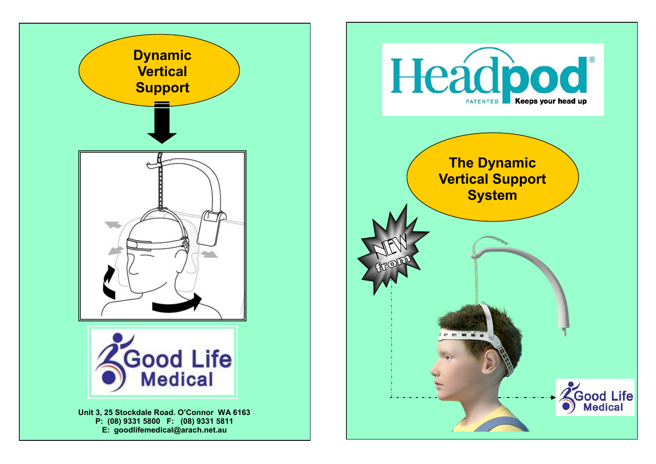

**E: goodlifemedical@arach.net.au**